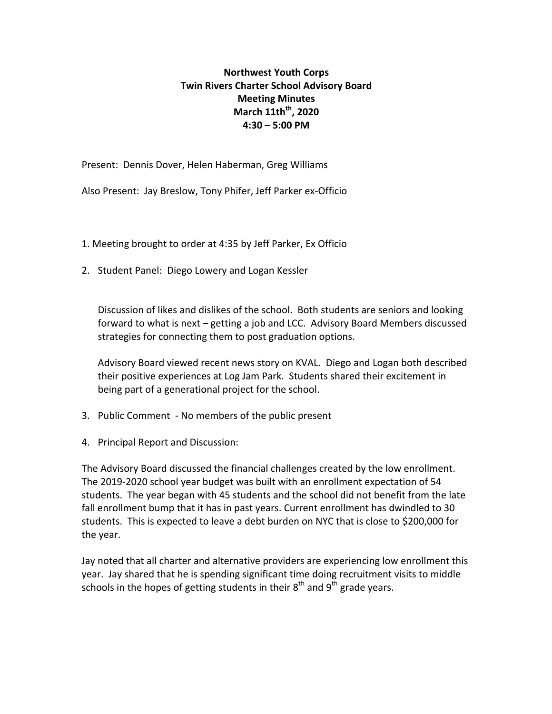## **Northwest Youth Corps Twin Rivers Charter School Advisory Board Meeting Minutes March 11th<sup>th</sup>, 2020 4:30 – 5:00 PM**

Present: Dennis Dover, Helen Haberman, Greg Williams

Also Present: Jay Breslow, Tony Phifer, Jeff Parker ex-Officio

- 1. Meeting brought to order at 4:35 by Jeff Parker, Ex Officio
- 2. Student Panel: Diego Lowery and Logan Kessler

Discussion of likes and dislikes of the school. Both students are seniors and looking forward to what is next – getting a job and LCC. Advisory Board Members discussed strategies for connecting them to post graduation options.

Advisory Board viewed recent news story on KVAL. Diego and Logan both described their positive experiences at Log Jam Park. Students shared their excitement in being part of a generational project for the school.

- 3. Public Comment No members of the public present
- 4. Principal Report and Discussion:

The Advisory Board discussed the financial challenges created by the low enrollment. The 2019-2020 school year budget was built with an enrollment expectation of 54 students. The year began with 45 students and the school did not benefit from the late fall enrollment bump that it has in past years. Current enrollment has dwindled to 30 students. This is expected to leave a debt burden on NYC that is close to \$200,000 for the year.

Jay noted that all charter and alternative providers are experiencing low enrollment this year. Jay shared that he is spending significant time doing recruitment visits to middle schools in the hopes of getting students in their  $8<sup>th</sup>$  and  $9<sup>th</sup>$  grade years.